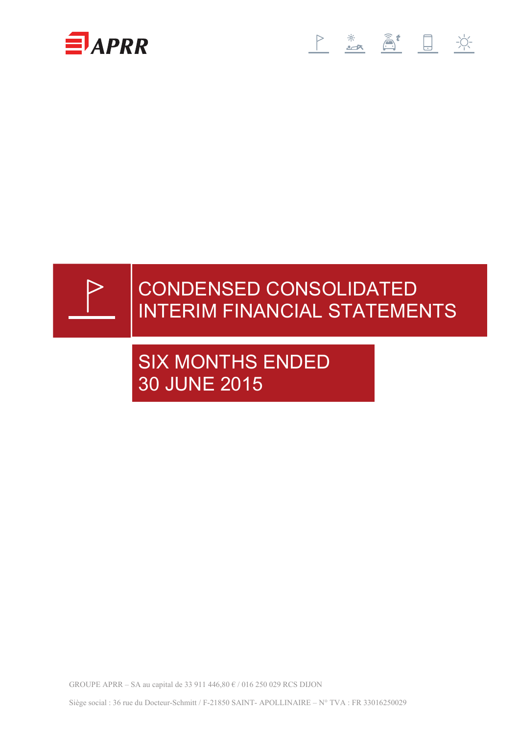





# CONDENSED CONSOLIDATED INTERIM FINANCIAL STATEMENTS

# SIX MONTHS ENDED 30 JUNE 2015

GROUPE APRR – SA au capital de 33 911 446,80 € / 016 250 029 RCS DIJON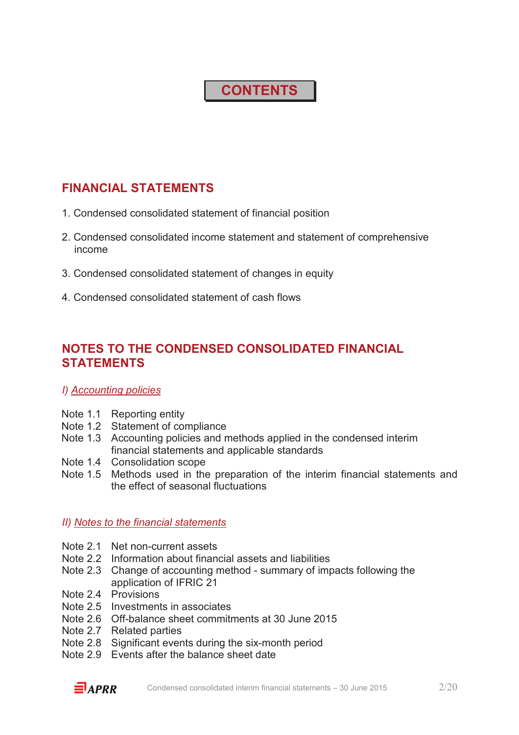# **CONTENTS**

## **FINANCIAL STATEMENTS**

- 1. Condensed consolidated statement of financial position
- 2. Condensed consolidated income statement and statement of comprehensive income
- 3. Condensed consolidated statement of changes in equity
- 4. Condensed consolidated statement of cash flows

## **NOTES TO THE CONDENSED CONSOLIDATED FINANCIAL STATEMENTS**

### *I) Accounting policies*

- Note 1.1 Reporting entity
- Note 1.2 Statement of compliance
- Note 1.3 Accounting policies and methods applied in the condensed interim financial statements and applicable standards
- Note 1.4 Consolidation scope
- Note 1.5 Methods used in the preparation of the interim financial statements and the effect of seasonal fluctuations

### *II) Notes to the financial statements*

- Note 2.1 Net non-current assets
- Note 2.2 Information about financial assets and liabilities
- Note 2.3 Change of accounting method summary of impacts following the application of IFRIC 21
- Note 2.4 Provisions
- Note 2.5 Investments in associates
- Note 2.6 Off-balance sheet commitments at 30 June 2015
- Note 2.7 Related parties
- Note 2.8 Significant events during the six-month period
- Note 2.9 Events after the balance sheet date

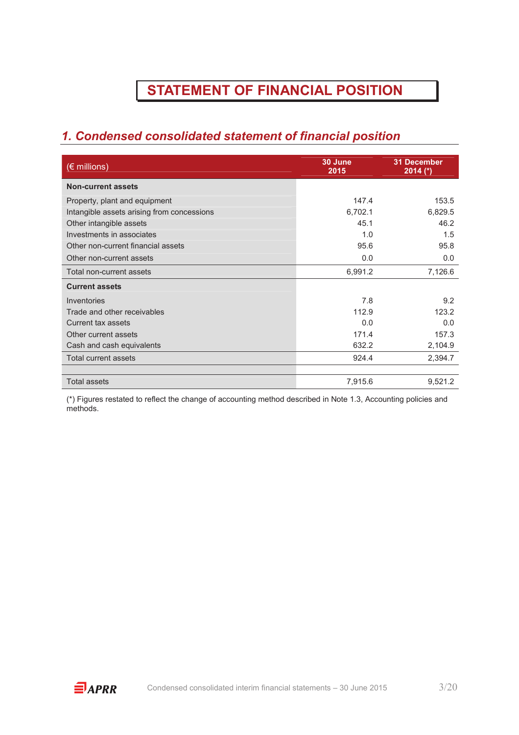# **STATEMENT OF FINANCIAL POSITION**

# *1. Condensed consolidated statement of financial position*

| $(\epsilon$ millions)                      | 30 June<br>2015 | <b>31 December</b><br>$2014$ (*) |
|--------------------------------------------|-----------------|----------------------------------|
| <b>Non-current assets</b>                  |                 |                                  |
| Property, plant and equipment              | 147.4           | 153.5                            |
| Intangible assets arising from concessions | 6,702.1         | 6,829.5                          |
| Other intangible assets                    | 45.1            | 46.2                             |
| Investments in associates                  | 1.0             | 1.5                              |
| Other non-current financial assets         | 95.6            | 95.8                             |
| Other non-current assets                   | 0.0             | 0.0                              |
| Total non-current assets                   | 6,991.2         | 7,126.6                          |
| <b>Current assets</b>                      |                 |                                  |
| Inventories                                | 7.8             | 9.2                              |
| Trade and other receivables                | 112.9           | 123.2                            |
| Current tax assets                         | 0.0             | 0.0                              |
| Other current assets                       | 171.4           | 157.3                            |
| Cash and cash equivalents                  | 632.2           | 2,104.9                          |
| <b>Total current assets</b>                | 924.4           | 2,394.7                          |
|                                            |                 |                                  |
| <b>Total assets</b>                        | 7,915.6         | 9,521.2                          |

(\*) Figures restated to reflect the change of accounting method described in Note 1.3, Accounting policies and methods.

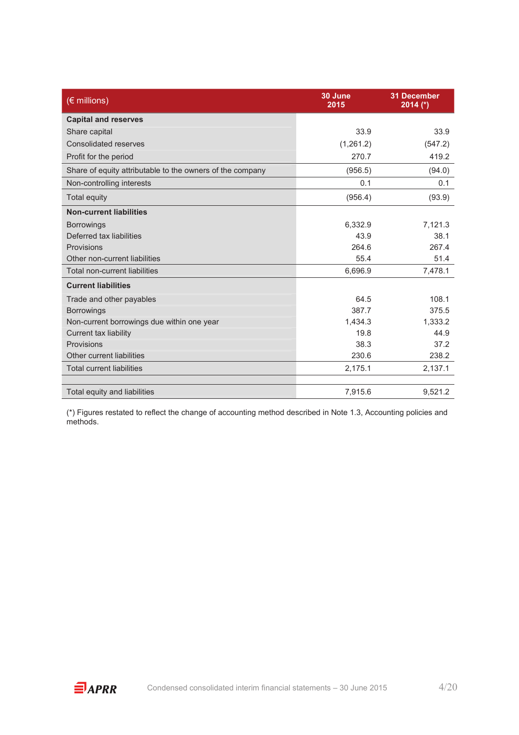| $(\epsilon$ millions)                                     | 30 June<br>2015 | <b>31 December</b><br>$2014$ (*) |
|-----------------------------------------------------------|-----------------|----------------------------------|
| <b>Capital and reserves</b>                               |                 |                                  |
| Share capital                                             | 33.9            | 33.9                             |
| Consolidated reserves                                     | (1,261.2)       | (547.2)                          |
| Profit for the period                                     | 270.7           | 419.2                            |
| Share of equity attributable to the owners of the company | (956.5)         | (94.0)                           |
| Non-controlling interests                                 | 0.1             | 0.1                              |
| <b>Total equity</b>                                       | (956.4)         | (93.9)                           |
| <b>Non-current liabilities</b>                            |                 |                                  |
| <b>Borrowings</b>                                         | 6,332.9         | 7,121.3                          |
| Deferred tax liabilities                                  | 43.9            | 38.1                             |
| Provisions                                                | 264.6           | 267.4                            |
| Other non-current liabilities                             | 55.4            | 51.4                             |
| <b>Total non-current liabilities</b>                      | 6,696.9         | 7,478.1                          |
| <b>Current liabilities</b>                                |                 |                                  |
| Trade and other payables                                  | 64.5            | 108.1                            |
| <b>Borrowings</b>                                         | 387.7           | 375.5                            |
| Non-current borrowings due within one year                | 1.434.3         | 1,333.2                          |
| <b>Current tax liability</b>                              | 19.8            | 44.9                             |
| Provisions                                                | 38.3            | 37.2                             |
| Other current liabilities                                 | 230.6           | 238.2                            |
| <b>Total current liabilities</b>                          | 2,175.1         | 2,137.1                          |
|                                                           |                 |                                  |
| Total equity and liabilities                              | 7,915.6         | 9,521.2                          |

(\*) Figures restated to reflect the change of accounting method described in Note 1.3, Accounting policies and methods.

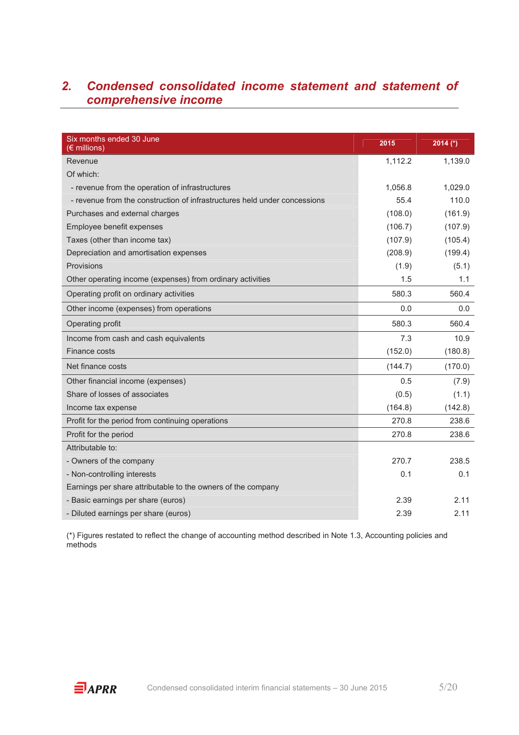## *2. Condensed consolidated income statement and statement of comprehensive income*

| Six months ended 30 June<br>$(\epsilon$ millions)                         | 2015    | 2014 $(*)$ |
|---------------------------------------------------------------------------|---------|------------|
| Revenue                                                                   | 1,112.2 | 1,139.0    |
| Of which:                                                                 |         |            |
| - revenue from the operation of infrastructures                           | 1,056.8 | 1,029.0    |
| - revenue from the construction of infrastructures held under concessions | 55.4    | 110.0      |
| Purchases and external charges                                            | (108.0) | (161.9)    |
| Employee benefit expenses                                                 | (106.7) | (107.9)    |
| Taxes (other than income tax)                                             | (107.9) | (105.4)    |
| Depreciation and amortisation expenses                                    | (208.9) | (199.4)    |
| Provisions                                                                | (1.9)   | (5.1)      |
| Other operating income (expenses) from ordinary activities                | 1.5     | 1.1        |
| Operating profit on ordinary activities                                   | 580.3   | 560.4      |
| Other income (expenses) from operations                                   | 0.0     | 0.0        |
| Operating profit                                                          | 580.3   | 560.4      |
| Income from cash and cash equivalents                                     | 7.3     | 10.9       |
| Finance costs                                                             | (152.0) | (180.8)    |
| Net finance costs                                                         | (144.7) | (170.0)    |
| Other financial income (expenses)                                         | 0.5     | (7.9)      |
| Share of losses of associates                                             | (0.5)   | (1.1)      |
| Income tax expense                                                        | (164.8) | (142.8)    |
| Profit for the period from continuing operations                          | 270.8   | 238.6      |
| Profit for the period                                                     | 270.8   | 238.6      |
| Attributable to:                                                          |         |            |
| - Owners of the company                                                   | 270.7   | 238.5      |
| - Non-controlling interests                                               | 0.1     | 0.1        |
| Earnings per share attributable to the owners of the company              |         |            |
| - Basic earnings per share (euros)                                        | 2.39    | 2.11       |
| - Diluted earnings per share (euros)                                      | 2.39    | 2.11       |

(\*) Figures restated to reflect the change of accounting method described in Note 1.3, Accounting policies and methods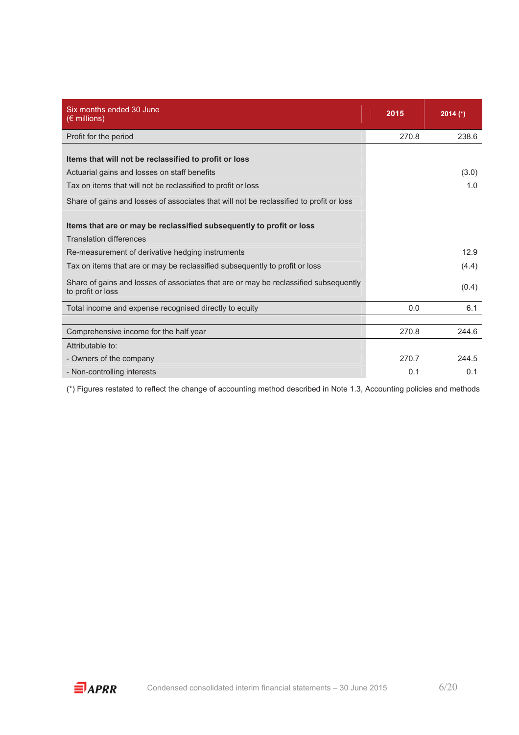| Six months ended 30 June<br>$(\epsilon$ millions)                                                         | 2015  | $2014$ (*) |
|-----------------------------------------------------------------------------------------------------------|-------|------------|
| Profit for the period                                                                                     | 270.8 | 238.6      |
| Items that will not be reclassified to profit or loss                                                     |       |            |
| Actuarial gains and losses on staff benefits                                                              |       | (3.0)      |
| Tax on items that will not be reclassified to profit or loss                                              |       | 1.0        |
| Share of gains and losses of associates that will not be reclassified to profit or loss                   |       |            |
| Items that are or may be reclassified subsequently to profit or loss<br><b>Translation differences</b>    |       |            |
| Re-measurement of derivative hedging instruments                                                          |       | 12.9       |
| Tax on items that are or may be reclassified subsequently to profit or loss                               |       | (4.4)      |
| Share of gains and losses of associates that are or may be reclassified subsequently<br>to profit or loss |       | (0.4)      |
| Total income and expense recognised directly to equity                                                    | 0.0   | 6.1        |
|                                                                                                           |       |            |
| Comprehensive income for the half year                                                                    | 270.8 | 244.6      |
| Attributable to:                                                                                          |       |            |
| - Owners of the company                                                                                   | 270.7 | 244.5      |
| - Non-controlling interests                                                                               | 0.1   | 0.1        |

(\*) Figures restated to reflect the change of accounting method described in Note 1.3, Accounting policies and methods

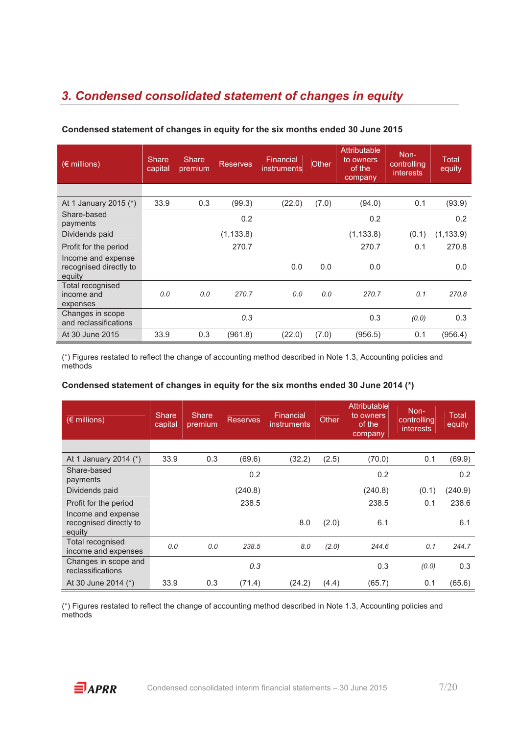# *3. Condensed consolidated statement of changes in equity*

| (€ millions)                                           | <b>Share</b><br>capital | <b>Share</b><br>premium | <b>Reserves</b> | Financial<br><b>instruments</b> | Other | Attributable<br>to owners<br>of the<br>company | Non-<br>controlling<br><i>interests</i> | Total<br>equity |
|--------------------------------------------------------|-------------------------|-------------------------|-----------------|---------------------------------|-------|------------------------------------------------|-----------------------------------------|-----------------|
|                                                        |                         |                         |                 |                                 |       |                                                |                                         |                 |
| At 1 January 2015 (*)                                  | 33.9                    | 0.3                     | (99.3)          | (22.0)                          | (7.0) | (94.0)                                         | 0.1                                     | (93.9)          |
| Share-based<br>payments                                |                         |                         | 0.2             |                                 |       | 0.2                                            |                                         | 0.2             |
| Dividends paid                                         |                         |                         | (1, 133.8)      |                                 |       | (1, 133.8)                                     | (0.1)                                   | (1, 133.9)      |
| Profit for the period                                  |                         |                         | 270.7           |                                 |       | 270.7                                          | 0.1                                     | 270.8           |
| Income and expense<br>recognised directly to<br>equity |                         |                         |                 | 0.0                             | 0.0   | 0.0                                            |                                         | 0.0             |
| Total recognised<br>income and<br>expenses             | 0.0                     | 0.0                     | 270.7           | 0.0                             | 0.0   | 270.7                                          | 0.1                                     | 270.8           |
| Changes in scope<br>and reclassifications              |                         |                         | 0.3             |                                 |       | 0.3                                            | (0.0)                                   | 0.3             |
| At 30 June 2015                                        | 33.9                    | 0.3                     | (961.8)         | (22.0)                          | (7.0) | (956.5)                                        | 0.1                                     | (956.4)         |

#### **Condensed statement of changes in equity for the six months ended 30 June 2015**

(\*) Figures restated to reflect the change of accounting method described in Note 1.3, Accounting policies and methods

#### **Condensed statement of changes in equity for the six months ended 30 June 2014 (\*)**

| $(E \text{ millions})$                                 | <b>Share</b><br>capital | Share<br>premium | <b>Reserves</b> | Financial<br><b>instruments</b> | Other | <b>Attributable</b><br>to owners<br>of the<br>company | Non-<br>controlling<br><i>interests</i> | Total<br>equity |
|--------------------------------------------------------|-------------------------|------------------|-----------------|---------------------------------|-------|-------------------------------------------------------|-----------------------------------------|-----------------|
|                                                        |                         |                  |                 |                                 |       |                                                       |                                         |                 |
| At 1 January 2014 (*)                                  | 33.9                    | 0.3              | (69.6)          | (32.2)                          | (2.5) | (70.0)                                                | 0.1                                     | (69.9)          |
| Share-based<br>payments                                |                         |                  | 0.2             |                                 |       | 0.2                                                   |                                         | 0.2             |
| Dividends paid                                         |                         |                  | (240.8)         |                                 |       | (240.8)                                               | (0.1)                                   | (240.9)         |
| Profit for the period                                  |                         |                  | 238.5           |                                 |       | 238.5                                                 | 0.1                                     | 238.6           |
| Income and expense<br>recognised directly to<br>equity |                         |                  |                 | 8.0                             | (2.0) | 6.1                                                   |                                         | 6.1             |
| Total recognised<br>income and expenses                | 0.0                     | 0.0              | 238.5           | 8.0                             | (2.0) | 244.6                                                 | 0.1                                     | 244.7           |
| Changes in scope and<br>reclassifications              |                         |                  | 0.3             |                                 |       | 0.3                                                   | (0.0)                                   | 0.3             |
| At 30 June 2014 (*)                                    | 33.9                    | 0.3              | (71.4)          | (24.2)                          | (4.4) | (65.7)                                                | 0.1                                     | (65.6)          |

(\*) Figures restated to reflect the change of accounting method described in Note 1.3, Accounting policies and methods

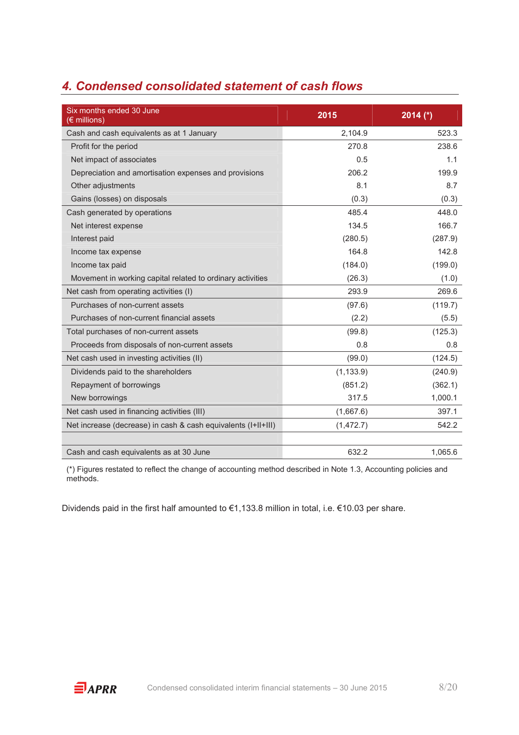# *4. Condensed consolidated statement of cash flows*

| Six months ended 30 June<br>(€ millions)                      | 2015       | 2014 $(*)$ |
|---------------------------------------------------------------|------------|------------|
| Cash and cash equivalents as at 1 January                     | 2,104.9    | 523.3      |
| Profit for the period                                         | 270.8      | 238.6      |
| Net impact of associates                                      | 0.5        | 1.1        |
| Depreciation and amortisation expenses and provisions         | 206.2      | 199.9      |
| Other adjustments                                             | 8.1        | 8.7        |
| Gains (losses) on disposals                                   | (0.3)      | (0.3)      |
| Cash generated by operations                                  | 485.4      | 448.0      |
| Net interest expense                                          | 134.5      | 166.7      |
| Interest paid                                                 | (280.5)    | (287.9)    |
| Income tax expense                                            | 164.8      | 142.8      |
| Income tax paid                                               | (184.0)    | (199.0)    |
| Movement in working capital related to ordinary activities    | (26.3)     | (1.0)      |
| Net cash from operating activities (I)                        | 293.9      | 269.6      |
| Purchases of non-current assets                               | (97.6)     | (119.7)    |
| Purchases of non-current financial assets                     | (2.2)      | (5.5)      |
| Total purchases of non-current assets                         | (99.8)     | (125.3)    |
| Proceeds from disposals of non-current assets                 | 0.8        | 0.8        |
| Net cash used in investing activities (II)                    | (99.0)     | (124.5)    |
| Dividends paid to the shareholders                            | (1, 133.9) | (240.9)    |
| Repayment of borrowings                                       | (851.2)    | (362.1)    |
| New borrowings                                                | 317.5      | 1,000.1    |
| Net cash used in financing activities (III)                   | (1,667.6)  | 397.1      |
| Net increase (decrease) in cash & cash equivalents (I+II+III) | (1, 472.7) | 542.2      |
|                                                               |            |            |
| Cash and cash equivalents as at 30 June                       | 632.2      | 1,065.6    |

(\*) Figures restated to reflect the change of accounting method described in Note 1.3, Accounting policies and methods.

Dividends paid in the first half amounted to €1,133.8 million in total, i.e. €10.03 per share.

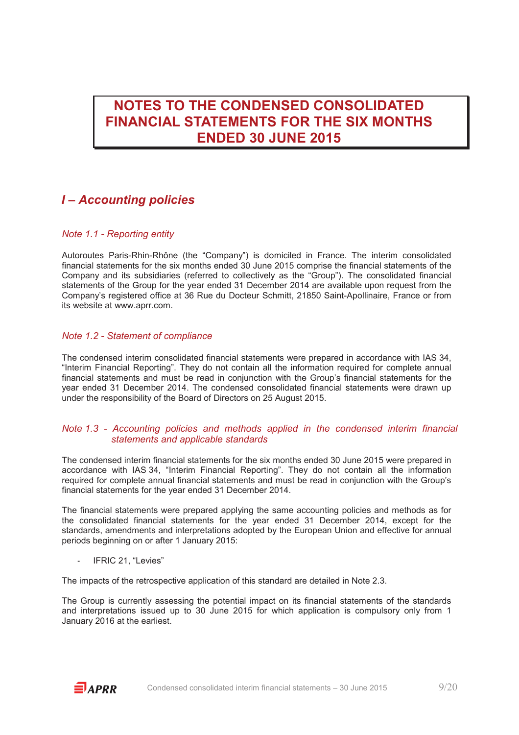# **NOTES TO THE CONDENSED CONSOLIDATED FINANCIAL STATEMENTS FOR THE SIX MONTHS ENDED 30 JUNE 2015**

### *I – Accounting policies*

#### *Note 1.1 - Reporting entity*

Autoroutes Paris-Rhin-Rhône (the "Company") is domiciled in France. The interim consolidated financial statements for the six months ended 30 June 2015 comprise the financial statements of the Company and its subsidiaries (referred to collectively as the "Group"). The consolidated financial statements of the Group for the year ended 31 December 2014 are available upon request from the Company's registered office at 36 Rue du Docteur Schmitt, 21850 Saint-Apollinaire, France or from its website at www.aprr.com.

#### *Note 1.2 - Statement of compliance*

The condensed interim consolidated financial statements were prepared in accordance with IAS 34, "Interim Financial Reporting". They do not contain all the information required for complete annual financial statements and must be read in conjunction with the Group's financial statements for the year ended 31 December 2014. The condensed consolidated financial statements were drawn up under the responsibility of the Board of Directors on 25 August 2015.

#### *Note 1.3 - Accounting policies and methods applied in the condensed interim financial statements and applicable standards*

The condensed interim financial statements for the six months ended 30 June 2015 were prepared in accordance with IAS 34, "Interim Financial Reporting". They do not contain all the information required for complete annual financial statements and must be read in conjunction with the Group's financial statements for the year ended 31 December 2014.

The financial statements were prepared applying the same accounting policies and methods as for the consolidated financial statements for the year ended 31 December 2014, except for the standards, amendments and interpretations adopted by the European Union and effective for annual periods beginning on or after 1 January 2015:

IFRIC 21, "Levies"

The impacts of the retrospective application of this standard are detailed in Note 2.3.

The Group is currently assessing the potential impact on its financial statements of the standards and interpretations issued up to 30 June 2015 for which application is compulsory only from 1 January 2016 at the earliest.

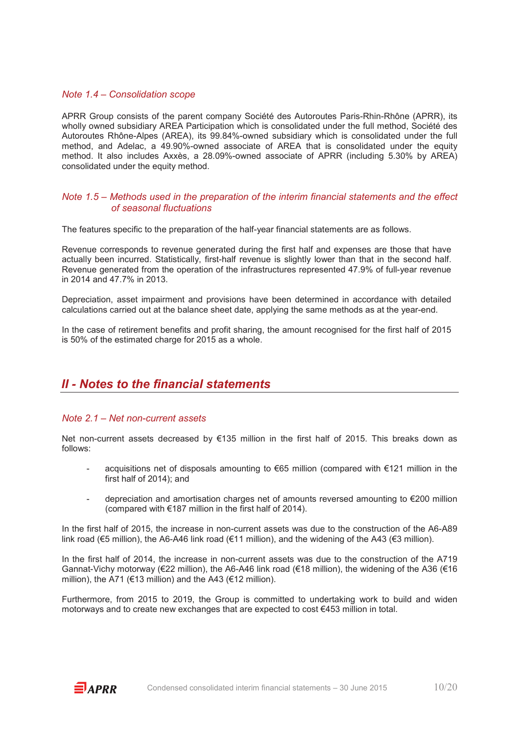#### *Note 1.4 – Consolidation scope*

APRR Group consists of the parent company Société des Autoroutes Paris-Rhin-Rhône (APRR), its wholly owned subsidiary AREA Participation which is consolidated under the full method, Société des Autoroutes Rhône-Alpes (AREA), its 99.84%-owned subsidiary which is consolidated under the full method, and Adelac, a 49.90%-owned associate of AREA that is consolidated under the equity method. It also includes Axxès, a 28.09%-owned associate of APRR (including 5.30% by AREA) consolidated under the equity method.

#### *Note 1.5 – Methods used in the preparation of the interim financial statements and the effect of seasonal fluctuations*

The features specific to the preparation of the half-year financial statements are as follows.

Revenue corresponds to revenue generated during the first half and expenses are those that have actually been incurred. Statistically, first-half revenue is slightly lower than that in the second half. Revenue generated from the operation of the infrastructures represented 47.9% of full-year revenue in 2014 and 47.7% in 2013.

Depreciation, asset impairment and provisions have been determined in accordance with detailed calculations carried out at the balance sheet date, applying the same methods as at the year-end.

In the case of retirement benefits and profit sharing, the amount recognised for the first half of 2015 is 50% of the estimated charge for 2015 as a whole.

### *II - Notes to the financial statements*

#### *Note 2.1 – Net non-current assets*

Net non-current assets decreased by €135 million in the first half of 2015. This breaks down as follows:

- acquisitions net of disposals amounting to  $\epsilon$ 65 million (compared with  $\epsilon$ 121 million in the first half of 2014); and
- depreciation and amortisation charges net of amounts reversed amounting to €200 million (compared with €187 million in the first half of 2014).

In the first half of 2015, the increase in non-current assets was due to the construction of the A6-A89 link road (€5 million), the A6-A46 link road (€11 million), and the widening of the A43 (€3 million).

In the first half of 2014, the increase in non-current assets was due to the construction of the A719 Gannat-Vichy motorway (€22 million), the A6-A46 link road (€18 million), the widening of the A36 (€16 million), the A71 (€13 million) and the A43 (€12 million).

Furthermore, from 2015 to 2019, the Group is committed to undertaking work to build and widen motorways and to create new exchanges that are expected to cost €453 million in total.

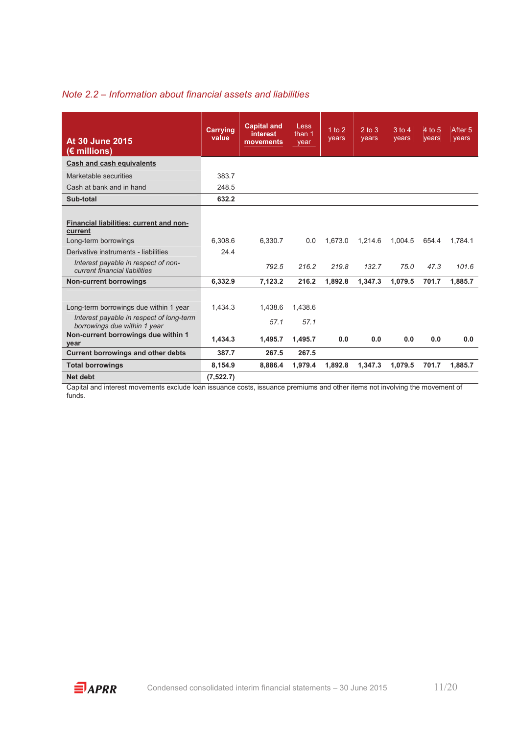#### *Note 2.2 – Information about financial assets and liabilities*

| At 30 June 2015<br>$(E \text{ millions})$                                                                          | <b>Carrying</b><br>value | <b>Capital and</b><br><b>interest</b><br>movements | Less<br>than 1<br>vear | 1 to 2<br>years | $2$ to $3$<br>vears | $3$ to $\overline{4}$<br>vears | 4 to 5<br>vears | After 5<br>vears |
|--------------------------------------------------------------------------------------------------------------------|--------------------------|----------------------------------------------------|------------------------|-----------------|---------------------|--------------------------------|-----------------|------------------|
| Cash and cash equivalents                                                                                          |                          |                                                    |                        |                 |                     |                                |                 |                  |
| Marketable securities                                                                                              | 383.7                    |                                                    |                        |                 |                     |                                |                 |                  |
| Cash at bank and in hand                                                                                           | 248.5                    |                                                    |                        |                 |                     |                                |                 |                  |
| Sub-total                                                                                                          | 632.2                    |                                                    |                        |                 |                     |                                |                 |                  |
| Financial liabilities: current and non-<br>current<br>Long-term borrowings<br>Derivative instruments - liabilities | 6.308.6<br>24.4          | 6.330.7                                            | 0.0                    | 1.673.0         | 1,214.6             | 1.004.5                        | 654.4           | 1.784.1          |
| Interest payable in respect of non-<br>current financial liabilities                                               |                          | 792.5                                              | 216.2                  | 219.8           | 132.7               | 75.0                           | 47.3            | 101.6            |
| <b>Non-current borrowings</b>                                                                                      | 6.332.9                  | 7.123.2                                            | 216.2                  | 1.892.8         | 1.347.3             | 1.079.5                        | 701.7           | 1.885.7          |
| Long-term borrowings due within 1 year<br>Interest payable in respect of long-term<br>borrowings due within 1 year | 1.434.3                  | 1.438.6<br>57.1                                    | 1.438.6<br>57.1        |                 |                     |                                |                 |                  |
| Non-current borrowings due within 1<br>year                                                                        | 1.434.3                  | 1,495.7                                            | 1,495.7                | 0.0             | 0.0                 | 0.0                            | 0.0             | 0.0              |
| <b>Current borrowings and other debts</b>                                                                          | 387.7                    | 267.5                                              | 267.5                  |                 |                     |                                |                 |                  |
| <b>Total borrowings</b>                                                                                            | 8,154.9                  | 8,886.4                                            | 1,979.4                | 1,892.8         | 1,347.3             | 1,079.5                        | 701.7           | 1,885.7          |
| Net debt                                                                                                           | (7, 522.7)               |                                                    |                        |                 |                     |                                |                 |                  |

Capital and interest movements exclude loan issuance costs, issuance premiums and other items not involving the movement of funds.

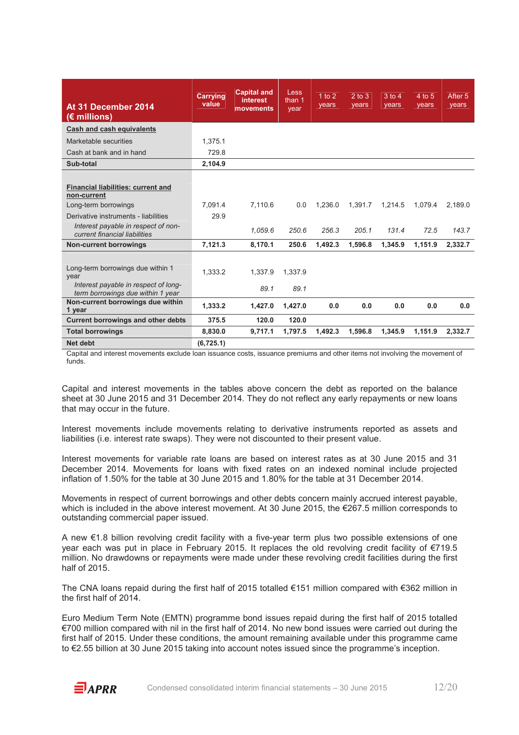| At 31 December 2014<br>$(E \text{ millions})$                                                                          | <b>Carrying</b><br>value | <b>Capital and</b><br><b>interest</b><br>movements | Less<br>than 1<br>year | 1 to $2$<br>years | $2$ to $3$<br>years | $3$ to $4$<br>years | 4 to 5<br>years | After 5<br>years |
|------------------------------------------------------------------------------------------------------------------------|--------------------------|----------------------------------------------------|------------------------|-------------------|---------------------|---------------------|-----------------|------------------|
| <b>Cash and cash equivalents</b>                                                                                       |                          |                                                    |                        |                   |                     |                     |                 |                  |
| Marketable securities                                                                                                  | 1.375.1                  |                                                    |                        |                   |                     |                     |                 |                  |
| Cash at bank and in hand                                                                                               | 729.8                    |                                                    |                        |                   |                     |                     |                 |                  |
| Sub-total                                                                                                              | 2,104.9                  |                                                    |                        |                   |                     |                     |                 |                  |
| <b>Financial liabilities: current and</b><br>non-current<br>Long-term borrowings                                       | 7.091.4                  | 7.110.6                                            | 0.0                    | 1.236.0           | 1.391.7             | 1.214.5             | 1.079.4         | 2.189.0          |
| Derivative instruments - liabilities<br>Interest payable in respect of non-<br>current financial liabilities           | 29.9                     | 1.059.6                                            | 250.6                  | 256.3             | 205.1               | 131.4               | 72.5            | 143.7            |
| <b>Non-current borrowings</b>                                                                                          | 7,121.3                  | 8,170.1                                            | 250.6                  | 1,492.3           | 1,596.8             | 1,345.9             | 1,151.9         | 2,332.7          |
| Long-term borrowings due within 1<br>year<br>Interest payable in respect of long-<br>term borrowings due within 1 year | 1.333.2                  | 1.337.9<br>89.1                                    | 1.337.9<br>89.1        |                   |                     |                     |                 |                  |
| Non-current borrowings due within<br>1 year                                                                            | 1.333.2                  | 1.427.0                                            | 1.427.0                | 0.0               | 0.0                 | 0.0                 | 0.0             | 0.0              |
| <b>Current borrowings and other debts</b>                                                                              | 375.5                    | 120.0                                              | 120.0                  |                   |                     |                     |                 |                  |
| <b>Total borrowings</b>                                                                                                | 8.830.0                  | 9.717.1                                            | 1.797.5                | 1.492.3           | 1.596.8             | 1.345.9             | 1,151.9         | 2.332.7          |
| Net debt                                                                                                               | (6, 725.1)               |                                                    |                        |                   |                     |                     |                 |                  |

Capital and interest movements exclude loan issuance costs, issuance premiums and other items not involving the movement of funds.

Capital and interest movements in the tables above concern the debt as reported on the balance sheet at 30 June 2015 and 31 December 2014. They do not reflect any early repayments or new loans that may occur in the future.

Interest movements include movements relating to derivative instruments reported as assets and liabilities (i.e. interest rate swaps). They were not discounted to their present value.

Interest movements for variable rate loans are based on interest rates as at 30 June 2015 and 31 December 2014. Movements for loans with fixed rates on an indexed nominal include projected inflation of 1.50% for the table at 30 June 2015 and 1.80% for the table at 31 December 2014.

Movements in respect of current borrowings and other debts concern mainly accrued interest payable, which is included in the above interest movement. At 30 June 2015, the €267.5 million corresponds to outstanding commercial paper issued.

A new €1.8 billion revolving credit facility with a five-year term plus two possible extensions of one year each was put in place in February 2015. It replaces the old revolving credit facility of €719.5 million. No drawdowns or repayments were made under these revolving credit facilities during the first half of 2015.

The CNA loans repaid during the first half of 2015 totalled €151 million compared with €362 million in the first half of 2014.

Euro Medium Term Note (EMTN) programme bond issues repaid during the first half of 2015 totalled €700 million compared with nil in the first half of 2014. No new bond issues were carried out during the first half of 2015. Under these conditions, the amount remaining available under this programme came to €2.55 billion at 30 June 2015 taking into account notes issued since the programme's inception.

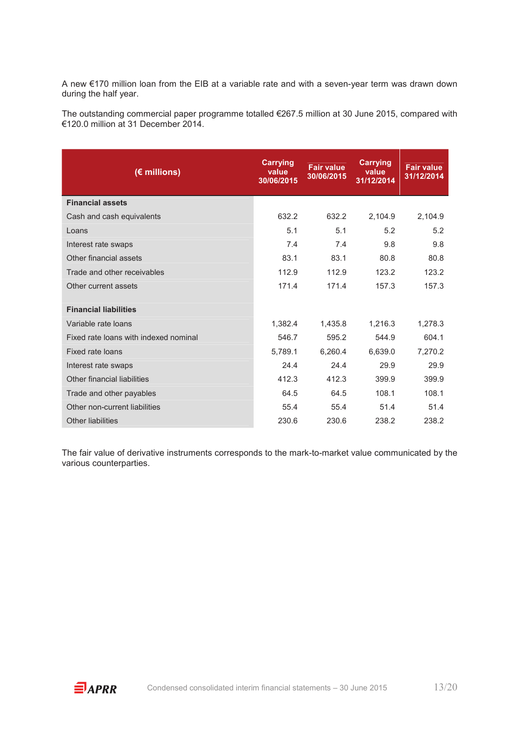A new €170 million loan from the EIB at a variable rate and with a seven-year term was drawn down during the half year.

The outstanding commercial paper programme totalled €267.5 million at 30 June 2015, compared with €120.0 million at 31 December 2014.

| (€ millions)                          | <b>Carrying</b><br>value<br>30/06/2015 | <b>Fair value</b><br>30/06/2015 | <b>Carrying</b><br>value<br>31/12/2014 | <b>Fair value</b><br>31/12/2014 |
|---------------------------------------|----------------------------------------|---------------------------------|----------------------------------------|---------------------------------|
| <b>Financial assets</b>               |                                        |                                 |                                        |                                 |
| Cash and cash equivalents             | 632.2                                  | 632.2                           | 2,104.9                                | 2,104.9                         |
| Loans                                 | 5.1                                    | 5.1                             | 5.2                                    | 5.2                             |
| Interest rate swaps                   | 7.4                                    | 7.4                             | 9.8                                    | 9.8                             |
| Other financial assets                | 83.1                                   | 83.1                            | 80.8                                   | 80.8                            |
| Trade and other receivables           | 112.9                                  | 112.9                           | 123.2                                  | 123.2                           |
| Other current assets                  | 171.4                                  | 171.4                           | 157.3                                  | 157.3                           |
| <b>Financial liabilities</b>          |                                        |                                 |                                        |                                 |
| Variable rate loans                   | 1,382.4                                | 1,435.8                         | 1,216.3                                | 1,278.3                         |
| Fixed rate loans with indexed nominal | 546.7                                  | 595.2                           | 544.9                                  | 604.1                           |
| Fixed rate loans                      | 5,789.1                                | 6,260.4                         | 6,639.0                                | 7,270.2                         |
| Interest rate swaps                   | 24.4                                   | 24.4                            | 29.9                                   | 29.9                            |
| Other financial liabilities           | 412.3                                  | 412.3                           | 399.9                                  | 399.9                           |
| Trade and other payables              | 64.5                                   | 64.5                            | 108.1                                  | 108.1                           |
| Other non-current liabilities         | 55.4                                   | 55.4                            | 51.4                                   | 51.4                            |
| <b>Other liabilities</b>              | 230.6                                  | 230.6                           | 238.2                                  | 238.2                           |

The fair value of derivative instruments corresponds to the mark-to-market value communicated by the various counterparties.

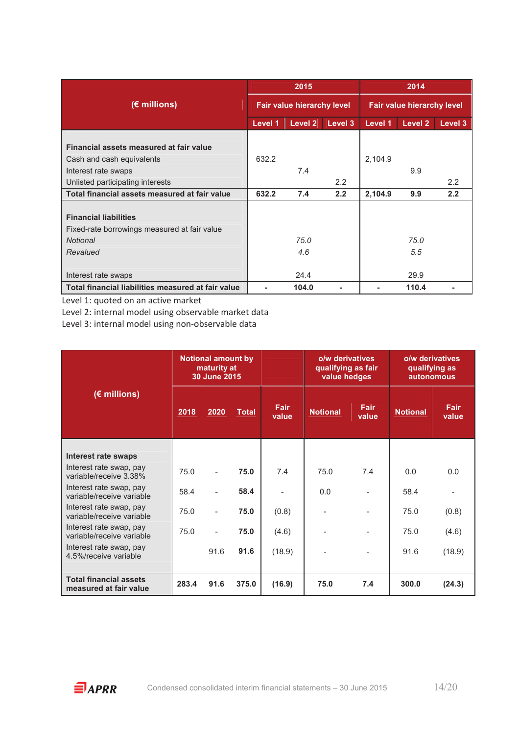|                                                    |         | 2015                              |         | 2014                              |         |         |  |
|----------------------------------------------------|---------|-----------------------------------|---------|-----------------------------------|---------|---------|--|
| $(E$ millions)                                     |         | <b>Fair value hierarchy level</b> |         | <b>Fair value hierarchy level</b> |         |         |  |
|                                                    | Level 1 | Level 2                           | Level 3 | Level 1                           | Level 2 | Level 3 |  |
|                                                    |         |                                   |         |                                   |         |         |  |
| Financial assets measured at fair value            |         |                                   |         |                                   |         |         |  |
| Cash and cash equivalents                          | 632.2   |                                   |         | 2,104.9                           |         |         |  |
| Interest rate swaps                                |         | 7.4                               |         |                                   | 9.9     |         |  |
| Unlisted participating interests                   |         |                                   | 2.2     |                                   |         | 2.2     |  |
| Total financial assets measured at fair value      | 632.2   | 7.4                               | 2.2     | 2,104.9                           | 9.9     | 2.2     |  |
|                                                    |         |                                   |         |                                   |         |         |  |
| <b>Financial liabilities</b>                       |         |                                   |         |                                   |         |         |  |
| Fixed-rate borrowings measured at fair value       |         |                                   |         |                                   |         |         |  |
| <b>Notional</b>                                    |         | 75.0                              |         |                                   | 75.0    |         |  |
| Revalued                                           |         | 4.6                               |         |                                   | 5.5     |         |  |
|                                                    |         |                                   |         |                                   |         |         |  |
| Interest rate swaps                                |         | 24.4                              |         |                                   | 29.9    |         |  |
| Total financial liabilities measured at fair value |         | 104.0                             |         |                                   | 110.4   |         |  |

Level 1: quoted on an active market

Level 2: internal model using observable market data

Level 3: internal model using non-observable data

|                                                         | <b>Notional amount by</b><br>maturity at<br>30 June 2015 |                |              |                      | o/w derivatives<br>qualifying as fair<br>value hedges |                          | o/w derivatives<br>qualifying as<br><b>autonomous</b> |                      |
|---------------------------------------------------------|----------------------------------------------------------|----------------|--------------|----------------------|-------------------------------------------------------|--------------------------|-------------------------------------------------------|----------------------|
| $(E$ millions)                                          | 2018                                                     | 2020           | <b>Total</b> | <b>Fair</b><br>value | <b>Notional</b>                                       | <b>Fair</b><br>value     | <b>Notional</b>                                       | <b>Fair</b><br>value |
|                                                         |                                                          |                |              |                      |                                                       |                          |                                                       |                      |
| <b>Interest rate swaps</b>                              |                                                          |                |              |                      |                                                       |                          |                                                       |                      |
| Interest rate swap, pay<br>variable/receive 3.38%       | 75.0                                                     | $\overline{a}$ | 75.0         | 7.4                  | 75.0                                                  | 7.4                      | 0.0                                                   | 0.0                  |
| Interest rate swap, pay<br>variable/receive variable    | 58.4                                                     |                | 58.4         |                      | 0.0                                                   |                          | 58.4                                                  |                      |
| Interest rate swap, pay<br>variable/receive variable    | 75.0                                                     |                | 75.0         | (0.8)                |                                                       | $\overline{\phantom{0}}$ | 75.0                                                  | (0.8)                |
| Interest rate swap, pay<br>variable/receive variable    | 75.0                                                     |                | 75.0         | (4.6)                |                                                       | $\overline{\phantom{0}}$ | 75.0                                                  | (4.6)                |
| Interest rate swap, pay<br>4.5%/receive variable        |                                                          | 91.6           | 91.6         | (18.9)               |                                                       | $\overline{\phantom{0}}$ | 91.6                                                  | (18.9)               |
|                                                         |                                                          |                |              |                      |                                                       |                          |                                                       |                      |
| <b>Total financial assets</b><br>measured at fair value | 283.4                                                    | 91.6           | 375.0        | (16.9)               | 75.0                                                  | 7.4                      | 300.0                                                 | (24.3)               |

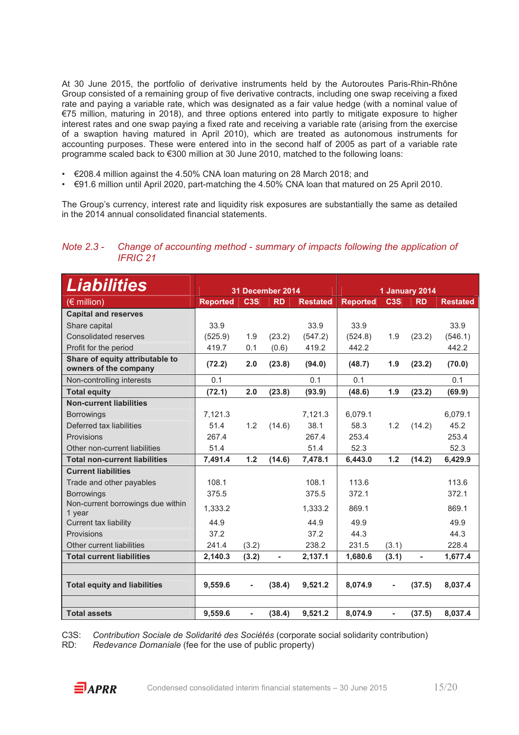At 30 June 2015, the portfolio of derivative instruments held by the Autoroutes Paris-Rhin-Rhône Group consisted of a remaining group of five derivative contracts, including one swap receiving a fixed rate and paying a variable rate, which was designated as a fair value hedge (with a nominal value of €75 million, maturing in 2018), and three options entered into partly to mitigate exposure to higher interest rates and one swap paying a fixed rate and receiving a variable rate (arising from the exercise of a swaption having matured in April 2010), which are treated as autonomous instruments for accounting purposes. These were entered into in the second half of 2005 as part of a variable rate programme scaled back to €300 million at 30 June 2010, matched to the following loans:

- $€208.4$  million against the 4.50% CNA loan maturing on 28 March 2018; and
- €91.6 million until April 2020, part-matching the 4.50% CNA loan that matured on 25 April 2010.

The Group's currency, interest rate and liquidity risk exposures are substantially the same as detailed in the 2014 annual consolidated financial statements.

#### *Note 2.3 - Change of accounting method - summary of impacts following the application of IFRIC 21*

| Liabilities                                              | 31 December 2014 |                              | 1 January 2014           |                 |                 |                  |                              |                 |
|----------------------------------------------------------|------------------|------------------------------|--------------------------|-----------------|-----------------|------------------|------------------------------|-----------------|
| $(\epsilon$ million)                                     | <b>Reported</b>  | C <sub>3</sub> S             | <b>RD</b>                | <b>Restated</b> | <b>Reported</b> | C <sub>3</sub> S | <b>RD</b>                    | <b>Restated</b> |
| <b>Capital and reserves</b>                              |                  |                              |                          |                 |                 |                  |                              |                 |
| Share capital                                            | 33.9             |                              |                          | 33.9            | 33.9            |                  |                              | 33.9            |
| <b>Consolidated reserves</b>                             | (525.9)          | 1.9                          | (23.2)                   | (547.2)         | (524.8)         | 1.9              | (23.2)                       | (546.1)         |
| Profit for the period                                    | 419.7            | 0.1                          | (0.6)                    | 419.2           | 442.2           |                  |                              | 442.2           |
| Share of equity attributable to<br>owners of the company | (72.2)           | 2.0                          | (23.8)                   | (94.0)          | (48.7)          | 1.9              | (23.2)                       | (70.0)          |
| Non-controlling interests                                | 0.1              |                              |                          | 0.1             | 0.1             |                  |                              | 0.1             |
| <b>Total equity</b>                                      | (72.1)           | 2.0                          | (23.8)                   | (93.9)          | (48.6)          | 1.9              | (23.2)                       | (69.9)          |
| <b>Non-current liabilities</b>                           |                  |                              |                          |                 |                 |                  |                              |                 |
| <b>Borrowings</b>                                        | 7,121.3          |                              |                          | 7,121.3         | 6,079.1         |                  |                              | 6,079.1         |
| Deferred tax liabilities                                 | 51.4             | 1.2                          | (14.6)                   | 38.1            | 58.3            | 1.2              | (14.2)                       | 45.2            |
| Provisions                                               | 267.4            |                              |                          | 267.4           | 253.4           |                  |                              | 253.4           |
| Other non-current liabilities                            | 51.4             |                              |                          | 51.4            | 52.3            |                  |                              | 52.3            |
| <b>Total non-current liabilities</b>                     | 7,491.4          | 1.2                          | (14.6)                   | 7,478.1         | 6,443.0         | 1.2              | (14.2)                       | 6,429.9         |
| <b>Current liabilities</b>                               |                  |                              |                          |                 |                 |                  |                              |                 |
| Trade and other payables                                 | 108.1            |                              |                          | 108.1           | 113.6           |                  |                              | 113.6           |
| <b>Borrowings</b>                                        | 375.5            |                              |                          | 375.5           | 372.1           |                  |                              | 372.1           |
| Non-current borrowings due within<br>1 year              | 1,333.2          |                              |                          | 1,333.2         | 869.1           |                  |                              | 869.1           |
| Current tax liability                                    | 44.9             |                              |                          | 44.9            | 49.9            |                  |                              | 49.9            |
| Provisions                                               | 37.2             |                              |                          | 37.2            | 44.3            |                  |                              | 44.3            |
| Other current liabilities                                | 241.4            | (3.2)                        |                          | 238.2           | 231.5           | (3.1)            |                              | 228.4           |
| <b>Total current liabilities</b>                         | 2,140.3          | (3.2)                        | $\overline{\phantom{a}}$ | 2,137.1         | 1,680.6         | (3.1)            | $\qquad \qquad \blacksquare$ | 1,677.4         |
|                                                          |                  |                              |                          |                 |                 |                  |                              |                 |
| <b>Total equity and liabilities</b>                      | 9,559.6          | $\qquad \qquad \blacksquare$ | (38.4)                   | 9,521.2         | 8,074.9         |                  | (37.5)                       | 8,037.4         |
|                                                          |                  |                              |                          |                 |                 |                  |                              |                 |
| <b>Total assets</b>                                      | 9,559.6          | $\blacksquare$               | (38.4)                   | 9,521.2         | 8,074.9         | ä,               | (37.5)                       | 8,037.4         |

C3S: *Contribution Sociale de Solidarité des Sociétés* (corporate social solidarity contribution) *Redevance Domaniale* (fee for the use of public property)

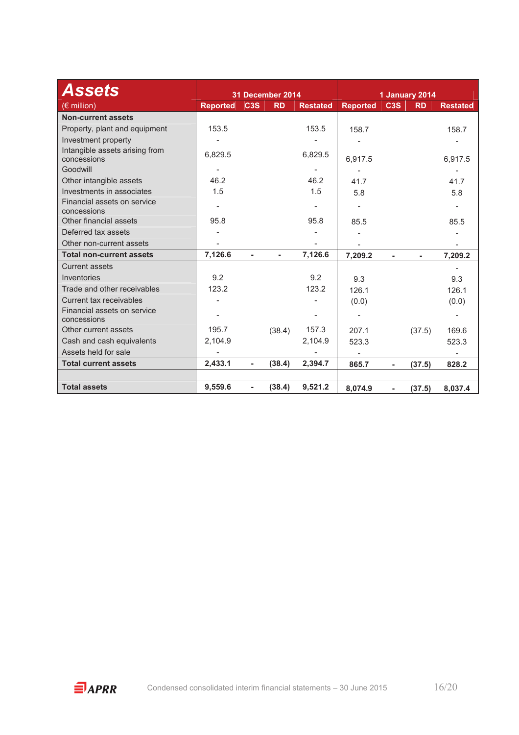| <b>Assets</b>                                 |                 |                              | 31 December 2014         |                 |                          |                          | 1 January 2014 |                 |
|-----------------------------------------------|-----------------|------------------------------|--------------------------|-----------------|--------------------------|--------------------------|----------------|-----------------|
| $(\epsilon$ million)                          | <b>Reported</b> | C <sub>3</sub> S             | <b>RD</b>                | <b>Restated</b> | <b>Reported</b>          | C <sub>3</sub> S         | <b>RD</b>      | <b>Restated</b> |
| <b>Non-current assets</b>                     |                 |                              |                          |                 |                          |                          |                |                 |
| Property, plant and equipment                 | 153.5           |                              |                          | 153.5           | 158.7                    |                          |                | 158.7           |
| Investment property                           |                 |                              |                          |                 |                          |                          |                |                 |
| Intangible assets arising from<br>concessions | 6,829.5         |                              |                          | 6,829.5         | 6,917.5                  |                          |                | 6,917.5         |
| Goodwill                                      |                 |                              |                          |                 |                          |                          |                |                 |
| Other intangible assets                       | 46.2            |                              |                          | 46.2            | 41.7                     |                          |                | 41.7            |
| Investments in associates                     | 1.5             |                              |                          | 1.5             | 5.8                      |                          |                | 5.8             |
| Financial assets on service<br>concessions    |                 |                              |                          |                 | $\overline{\phantom{a}}$ |                          |                |                 |
| Other financial assets                        | 95.8            |                              |                          | 95.8            | 85.5                     |                          |                | 85.5            |
| Deferred tax assets                           |                 |                              |                          |                 |                          |                          |                |                 |
| Other non-current assets                      |                 |                              |                          |                 |                          |                          |                |                 |
| <b>Total non-current assets</b>               | 7,126.6         | ×,                           | $\overline{\phantom{0}}$ | 7,126.6         | 7,209.2                  |                          |                | 7,209.2         |
| <b>Current assets</b>                         |                 |                              |                          |                 |                          |                          |                |                 |
| Inventories                                   | 9.2             |                              |                          | 9.2             | 9.3                      |                          |                | 9.3             |
| Trade and other receivables                   | 123.2           |                              |                          | 123.2           | 126.1                    |                          |                | 126.1           |
| Current tax receivables                       |                 |                              |                          |                 | (0.0)                    |                          |                | (0.0)           |
| Financial assets on service<br>concessions    |                 |                              |                          |                 |                          |                          |                |                 |
| Other current assets                          | 195.7           |                              | (38.4)                   | 157.3           | 207.1                    |                          | (37.5)         | 169.6           |
| Cash and cash equivalents                     | 2,104.9         |                              |                          | 2,104.9         | 523.3                    |                          |                | 523.3           |
| Assets held for sale                          |                 |                              |                          |                 |                          |                          |                |                 |
| <b>Total current assets</b>                   | 2,433.1         | $\qquad \qquad \blacksquare$ | (38.4)                   | 2,394.7         | 865.7                    | ٠                        | (37.5)         | 828.2           |
|                                               |                 |                              |                          |                 |                          |                          |                |                 |
| <b>Total assets</b>                           | 9,559.6         | $\overline{\phantom{a}}$     | (38.4)                   | 9,521.2         | 8,074.9                  | $\overline{\phantom{a}}$ | (37.5)         | 8,037.4         |

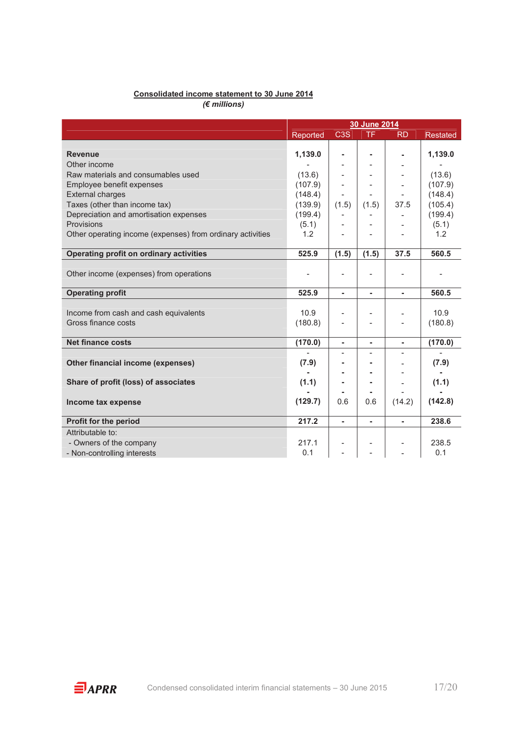#### **Consolidated income statement to 30 June 2014**  *(€ millions)*

 **30 June 2014**  Reported C3S TF RD Restated **Revenue 1,139.0 - - - 1,139.0**  Other income - - - - - Raw materials and consumables used  $(13.6)$   $(13.6)$ <br>Employee benefit expenses  $(107.9)$   $(107.9)$ Employee benefit expenses  $(107.9)$   $-$ External charges  $(148.4)$   $(148.4)$ Taxes (other than income tax) (139.9) (1.5)  $(1.5)$  (1.5) 37.5 (105.4) Depreciation and amortisation expenses (199.4)  $\begin{array}{|c|c|c|c|c|c|}\n\hline\n\text{Provisions} & (5.1) & - & - & - & (199.4) \\
\hline\n\end{array}$ Provisions (5.1) -  $\vert$  -  $\vert$  -  $\vert$  -  $\vert$  -  $\vert$  (5.1) - (5.1) Other operating income (expenses) from ordinary activities  $1.2$   $1.2$ **Operating profit on ordinary activities 525.9 (1.5) (1.5) 37.5 560.5**  Other income (expenses) from operations - - - - - **Operating profit** 525.9 - - 560.5 Income from cash and cash equivalents 10.9  $\vert$  -  $\vert$  -  $\vert$  10.9  $\vert$ Gross finance costs (180.8)  $\vert$  -  $\vert$  -  $\vert$  (180.8) **Net finance costs (170.0) - - - (170.0)**  - - - - - Other financial income (expenses)  $(7.9)$   $(7.9)$ **- - -** - **- Share of profit (loss) of associates (1.1) - -** - **(1.1) - - -** - **- Income tax expense** (129.7)  $\begin{bmatrix} 0.6 & 0.6 & 1.42 \end{bmatrix}$  (142.8) **Profit for the period** 217.2 - 238.6 Attributable to: - Owners of the company 217.1  $\vert$  -  $\vert$  -  $\vert$  238.5  $-$  Non-controlling interests 0.1  $-$  -  $-$  0.1  $-$  - 0.1 0.1

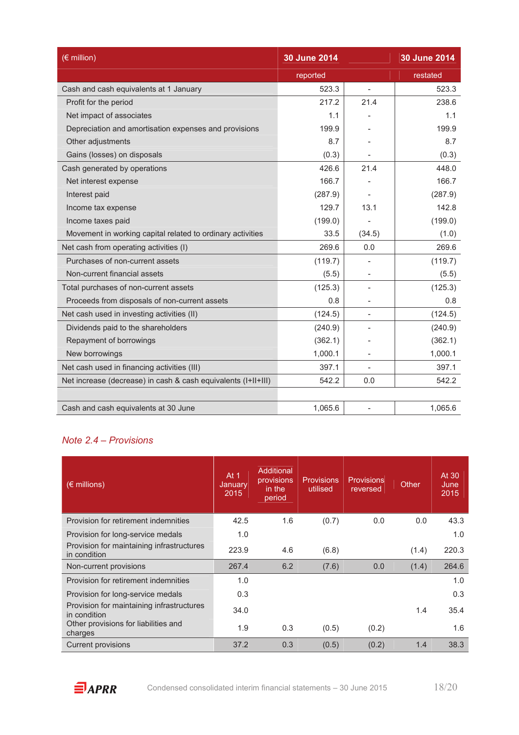| $(\epsilon$ million)                                          | 30 June 2014 |                | 30 June 2014 |
|---------------------------------------------------------------|--------------|----------------|--------------|
|                                                               | reported     |                | restated     |
| Cash and cash equivalents at 1 January                        | 523.3        | $\blacksquare$ | 523.3        |
| Profit for the period                                         | 217.2        | 21.4           | 238.6        |
| Net impact of associates                                      | 1.1          |                | 1.1          |
| Depreciation and amortisation expenses and provisions         | 199.9        |                | 199.9        |
| Other adjustments                                             | 8.7          |                | 8.7          |
| Gains (losses) on disposals                                   | (0.3)        |                | (0.3)        |
| Cash generated by operations                                  | 426.6        | 21.4           | 448.0        |
| Net interest expense                                          | 166.7        |                | 166.7        |
| Interest paid                                                 | (287.9)      |                | (287.9)      |
| Income tax expense                                            | 129.7        | 13.1           | 142.8        |
| Income taxes paid                                             | (199.0)      |                | (199.0)      |
| Movement in working capital related to ordinary activities    | 33.5         | (34.5)         | (1.0)        |
| Net cash from operating activities (I)                        | 269.6        | 0.0            | 269.6        |
| Purchases of non-current assets                               | (119.7)      |                | (119.7)      |
| Non-current financial assets                                  | (5.5)        |                | (5.5)        |
| Total purchases of non-current assets                         | (125.3)      |                | (125.3)      |
| Proceeds from disposals of non-current assets                 | 0.8          |                | 0.8          |
| Net cash used in investing activities (II)                    | (124.5)      |                | (124.5)      |
| Dividends paid to the shareholders                            | (240.9)      |                | (240.9)      |
| Repayment of borrowings                                       | (362.1)      |                | (362.1)      |
| New borrowings                                                | 1,000.1      |                | 1,000.1      |
| Net cash used in financing activities (III)                   | 397.1        |                | 397.1        |
| Net increase (decrease) in cash & cash equivalents (I+II+III) | 542.2        | 0.0            | 542.2        |
|                                                               |              |                |              |
| Cash and cash equivalents at 30 June                          | 1,065.6      |                | 1,065.6      |

### *Note 2.4 – Provisions*

| $(\epsilon$ millions)                                     | At $1$<br>January<br>2015 | Additional<br>provisions<br>in the<br>period | <b>Provisions</b><br>utilised | <b>Provisions</b><br>reversed | Other | At 30<br>June<br>2015 |
|-----------------------------------------------------------|---------------------------|----------------------------------------------|-------------------------------|-------------------------------|-------|-----------------------|
| Provision for retirement indemnities                      | 42.5                      | 1.6                                          | (0.7)                         | 0.0                           | 0.0   | 43.3                  |
| Provision for long-service medals                         | 1.0                       |                                              |                               |                               |       | 1.0                   |
| Provision for maintaining infrastructures<br>in condition | 223.9                     | 4.6                                          | (6.8)                         |                               | (1.4) | 220.3                 |
| Non-current provisions                                    | 267.4                     | 6.2                                          | (7.6)                         | 0.0                           | (1.4) | 264.6                 |
| Provision for retirement indemnities                      | 1.0                       |                                              |                               |                               |       | 1.0                   |
| Provision for long-service medals                         | 0.3                       |                                              |                               |                               |       | 0.3                   |
| Provision for maintaining infrastructures<br>in condition | 34.0                      |                                              |                               |                               | 1.4   | 35.4                  |
| Other provisions for liabilities and<br>charges           | 1.9                       | 0.3                                          | (0.5)                         | (0.2)                         |       | 1.6                   |
| <b>Current provisions</b>                                 | 37.2                      | 0.3                                          | (0.5)                         | (0.2)                         | 1.4   | 38.3                  |

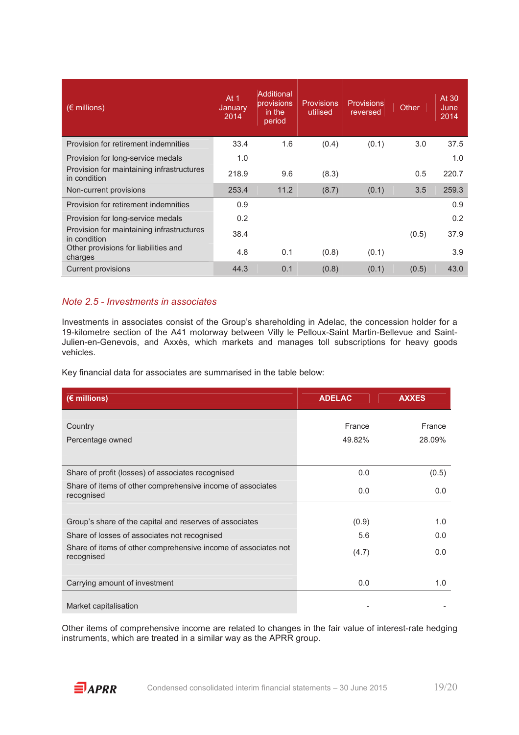| $(\epsilon$ millions)                                     | At $1$<br>January<br>2014 | Additional<br>provisions<br>in the<br>period | <b>Provisions</b><br>utilised | <b>Provisions</b><br>reversed | Other | At 30<br>June<br>2014 |
|-----------------------------------------------------------|---------------------------|----------------------------------------------|-------------------------------|-------------------------------|-------|-----------------------|
| Provision for retirement indemnities                      | 33.4                      | 1.6                                          | (0.4)                         | (0.1)                         | 3.0   | 37.5                  |
| Provision for long-service medals                         | 1.0                       |                                              |                               |                               |       | 1.0                   |
| Provision for maintaining infrastructures<br>in condition | 218.9                     | 9.6                                          | (8.3)                         |                               | 0.5   | 220.7                 |
| Non-current provisions                                    | 253.4                     | 11.2                                         | (8.7)                         | (0.1)                         | 3.5   | 259.3                 |
| Provision for retirement indemnities                      | 0.9                       |                                              |                               |                               |       | 0.9                   |
| Provision for long-service medals                         | 0.2                       |                                              |                               |                               |       | 0.2                   |
| Provision for maintaining infrastructures<br>in condition | 38.4                      |                                              |                               |                               | (0.5) | 37.9                  |
| Other provisions for liabilities and<br>charges           | 4.8                       | 0.1                                          | (0.8)                         | (0.1)                         |       | 3.9                   |
| Current provisions                                        | 44.3                      | 0.1                                          | (0.8)                         | (0.1)                         | (0.5) | 43.0                  |

#### *Note 2.5 - Investments in associates*

Investments in associates consist of the Group's shareholding in Adelac, the concession holder for a 19-kilometre section of the A41 motorway between Villy le Pelloux-Saint Martin-Bellevue and Saint-Julien-en-Genevois, and Axxès, which markets and manages toll subscriptions for heavy goods vehicles.

Key financial data for associates are summarised in the table below:

| $(E$ millions)                                                               | <b>ADELAC</b> | <b>AXXES</b> |
|------------------------------------------------------------------------------|---------------|--------------|
| Country                                                                      | France        | France       |
|                                                                              |               |              |
| Percentage owned                                                             | 49.82%        | 28.09%       |
|                                                                              |               |              |
| Share of profit (losses) of associates recognised                            | 0.0           | (0.5)        |
| Share of items of other comprehensive income of associates<br>recognised     | 0.0           | 0.0          |
|                                                                              |               |              |
| Group's share of the capital and reserves of associates                      | (0.9)         | 1.0          |
| Share of losses of associates not recognised                                 | 5.6           | 0.0          |
| Share of items of other comprehensive income of associates not<br>recognised | (4.7)         | 0.0          |
|                                                                              |               |              |
| Carrying amount of investment                                                | 0.0           | 1.0          |
|                                                                              |               |              |
| Market capitalisation                                                        |               |              |

Other items of comprehensive income are related to changes in the fair value of interest-rate hedging instruments, which are treated in a similar way as the APRR group.

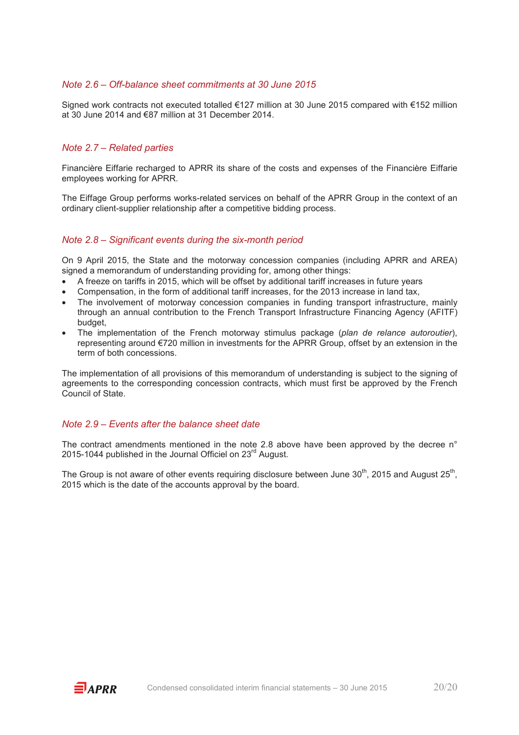#### *Note 2.6 – Off-balance sheet commitments at 30 June 2015*

Signed work contracts not executed totalled €127 million at 30 June 2015 compared with €152 million at 30 June 2014 and €87 million at 31 December 2014.

#### *Note 2.7 – Related parties*

Financière Eiffarie recharged to APRR its share of the costs and expenses of the Financière Eiffarie employees working for APRR.

The Eiffage Group performs works-related services on behalf of the APRR Group in the context of an ordinary client-supplier relationship after a competitive bidding process.

#### *Note 2.8 – Significant events during the six-month period*

On 9 April 2015, the State and the motorway concession companies (including APRR and AREA) signed a memorandum of understanding providing for, among other things:

- A freeze on tariffs in 2015, which will be offset by additional tariff increases in future years
- Compensation, in the form of additional tariff increases, for the 2013 increase in land tax,
- The involvement of motorway concession companies in funding transport infrastructure, mainly through an annual contribution to the French Transport Infrastructure Financing Agency (AFITF) budget,
- The implementation of the French motorway stimulus package (*plan de relance autoroutier*), representing around €720 million in investments for the APRR Group, offset by an extension in the term of both concessions.

The implementation of all provisions of this memorandum of understanding is subject to the signing of agreements to the corresponding concession contracts, which must first be approved by the French Council of State.

#### *Note 2.9 – Events after the balance sheet date*

The contract amendments mentioned in the note 2.8 above have been approved by the decree n° 2015-1044 published in the Journal Officiel on 23<sup>rd</sup> August.

The Group is not aware of other events requiring disclosure between June 30<sup>th</sup>, 2015 and August 25<sup>th</sup>, 2015 which is the date of the accounts approval by the board.

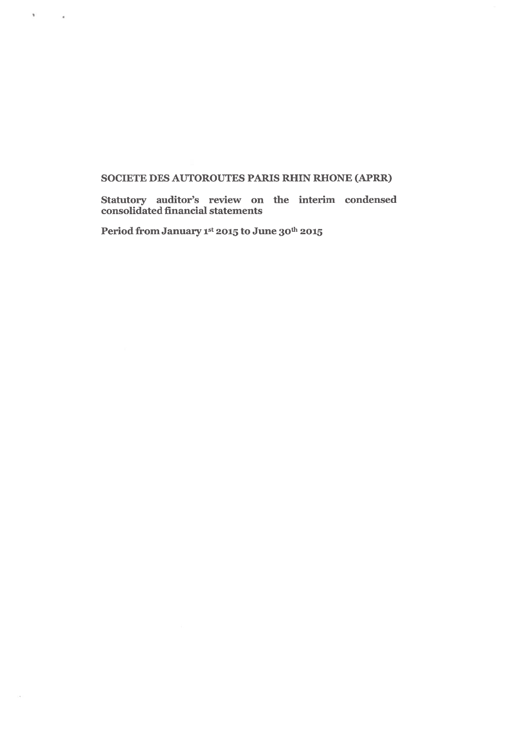#### SOCIETE DES AUTOROUTES PARIS RHIN RHONE (APRR)

Statutory auditor's review on the interim condensed<br>consolidated financial statements

Period from January 1st 2015 to June 30th 2015

 $\mathcal{N}$  . The set of  $\mathcal{N}$ 

 $\sim$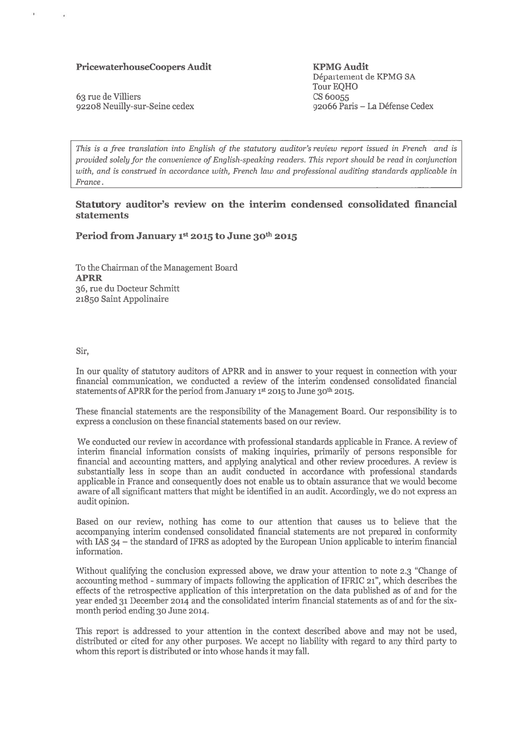#### PricewaterhouseCoopers Audit

63 rue de Villiers 92208 Neuilly-sur-Seine cedex

**KPMG Audit** Département de KPMG SA Tour EQHO CS 60055 92066 Paris - La Défense Cedex

This is a free translation into English of the statutory auditor's review report issued in French and is provided solely for the convenience of English-speaking readers. This report should be read in conjunction with, and is construed in accordance with, French law and professional auditing standards applicable in France.

#### Statutory auditor's review on the interim condensed consolidated financial statements

#### Period from January 1st 2015 to June 30th 2015

To the Chairman of the Management Board **APRR** 36, rue du Docteur Schmitt 21850 Saint Appolinaire

Sir.

×.

 $\overline{\mathcal{C}}$ 

In our quality of statutory auditors of APRR and in answer to your request in connection with your financial communication, we conducted a review of the interim condensed consolidated financial statements of APRR for the period from January 1st 2015 to June 30th 2015.

These financial statements are the responsibility of the Management Board. Our responsibility is to express a conclusion on these financial statements based on our review.

We conducted our review in accordance with professional standards applicable in France. A review of interim financial information consists of making inquiries, primarily of persons responsible for financial and accounting matters, and applying analytical and other review procedures. A review is substantially less in scope than an audit conducted in accordance with professional standards applicable in France and consequently does not enable us to obtain assurance that we would become aware of all significant matters that might be identified in an audit. Accordingly, we do not express an audit opinion.

Based on our review, nothing has come to our attention that causes us to believe that the accompanying interim condensed consolidated financial statements are not prepared in conformity with IAS  $34$  – the standard of IFRS as adopted by the European Union applicable to interim financial information.

Without qualifying the conclusion expressed above, we draw your attention to note 2.3 "Change of accounting method - summary of impacts following the application of IFRIC 21", which describes the effects of the retrospective application of this interpretation on the data published as of and for the year ended 31 December 2014 and the consolidated interim financial statements as of and for the sixmonth period ending 30 June 2014.

This report is addressed to your attention in the context described above and may not be used, distributed or cited for any other purposes. We accept no liability with regard to any third party to whom this report is distributed or into whose hands it may fall.